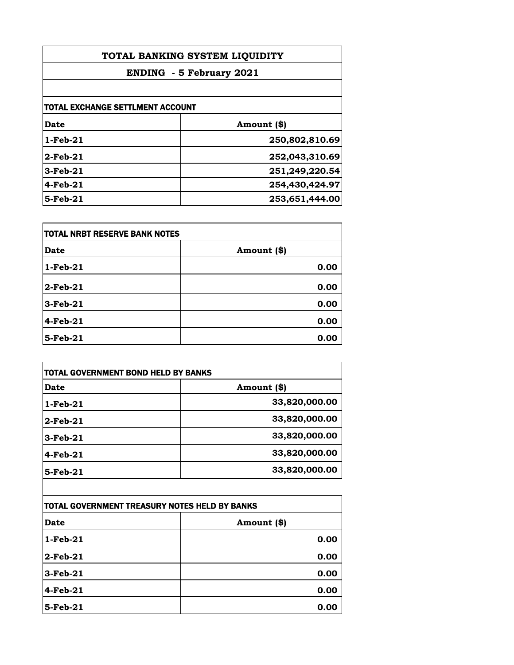| TOTAL BANKING SYSTEM LIQUIDITY<br><b>ENDING - 5 February 2021</b> |                |                                  |             |
|-------------------------------------------------------------------|----------------|----------------------------------|-------------|
|                                                                   |                | TOTAL EXCHANGE SETTLMENT ACCOUNT |             |
|                                                                   |                | Date                             | Amount (\$) |
| $1$ -Feb-21                                                       | 250,802,810.69 |                                  |             |
| $2$ -Feb-21                                                       | 252,043,310.69 |                                  |             |
| $3$ -Feb-21                                                       | 251,249,220.54 |                                  |             |
| $4$ -Feb-21                                                       | 254,430,424.97 |                                  |             |
| $5$ -Feb- $21$                                                    | 253,651,444.00 |                                  |             |

| <b>TOTAL NRBT RESERVE BANK NOTES</b> |             |
|--------------------------------------|-------------|
| <b>Date</b>                          | Amount (\$) |
| $1-Feb-21$                           | 0.00        |
| $2$ -Feb-21                          | 0.00        |
| $3-Feb-21$                           | 0.00        |
| 4-Feb-21                             | 0.00        |
| 5-Feb-21                             | 0.00        |

| <b>TOTAL GOVERNMENT BOND HELD BY BANKS</b> |               |
|--------------------------------------------|---------------|
| Date                                       | Amount (\$)   |
| $1-Feb-21$                                 | 33,820,000.00 |
| $2$ -Feb-21                                | 33,820,000.00 |
| $3-Feb-21$                                 | 33,820,000.00 |
| $4-Feb-21$                                 | 33,820,000.00 |
| 5-Feb-21                                   | 33,820,000.00 |
|                                            |               |

| TOTAL GOVERNMENT TREASURY NOTES HELD BY BANKS |             |
|-----------------------------------------------|-------------|
| <b>Date</b>                                   | Amount (\$) |
| $1-Feb-21$                                    | 0.00        |
| $2$ -Feb-21                                   | 0.00        |
| $3-Feb-21$                                    | 0.00        |
| $4-Feb-21$                                    | 0.00        |
| 5-Feb-21                                      | 0.00        |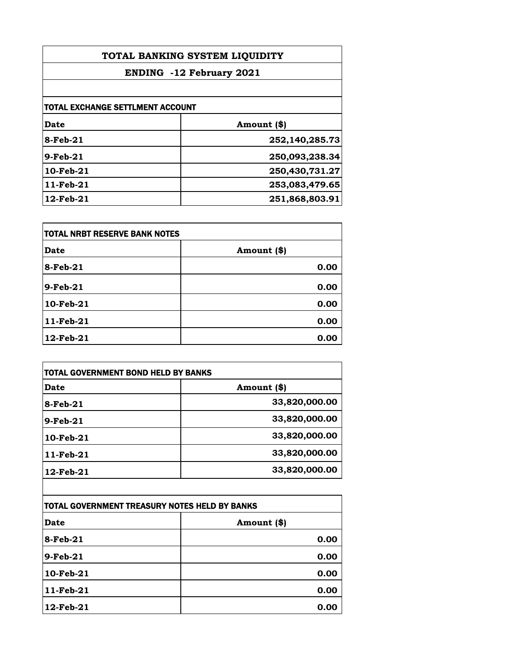| TOTAL BANKING SYSTEM LIQUIDITY<br><b>ENDING -12 February 2021</b> |                |                                         |             |
|-------------------------------------------------------------------|----------------|-----------------------------------------|-------------|
|                                                                   |                | <b>TOTAL EXCHANGE SETTLMENT ACCOUNT</b> |             |
|                                                                   |                | Date                                    | Amount (\$) |
| 8-Feb-21                                                          | 252,140,285.73 |                                         |             |
| $9$ -Feb-21                                                       | 250,093,238.34 |                                         |             |
| $10$ -Feb- $21$                                                   | 250,430,731.27 |                                         |             |
| 11-Feb-21                                                         | 253,083,479.65 |                                         |             |
| $12$ -Feb- $21$                                                   | 251,868,803.91 |                                         |             |

| TOTAL NRBT RESERVE BANK NOTES |             |
|-------------------------------|-------------|
| <b>Date</b>                   | Amount (\$) |
| 8-Feb-21                      | 0.00        |
| $9$ -Feb-21                   | 0.00        |
| $10$ -Feb- $21$               | 0.00        |
| 11-Feb-21                     | 0.00        |
| 12-Feb-21                     | 0.00        |

| <b>TOTAL GOVERNMENT BOND HELD BY BANKS</b> |               |
|--------------------------------------------|---------------|
| Date                                       | Amount (\$)   |
| 8-Feb-21                                   | 33,820,000.00 |
| $9-Feb-21$                                 | 33,820,000.00 |
| 10-Feb-21                                  | 33,820,000.00 |
| 11-Feb-21                                  | 33,820,000.00 |
| 12-Feb-21                                  | 33,820,000.00 |

| TOTAL GOVERNMENT TREASURY NOTES HELD BY BANKS |             |
|-----------------------------------------------|-------------|
| <b>Date</b>                                   | Amount (\$) |
| 8-Feb-21                                      | 0.00        |
| $9-Feb-21$                                    | 0.00        |
| 10-Feb-21                                     | 0.00        |
| 11-Feb-21                                     | 0.00        |
| 12-Feb-21                                     | 0.00        |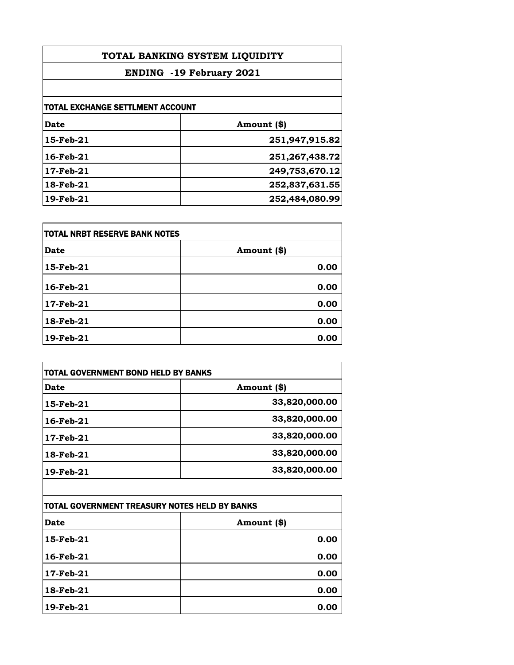| TOTAL BANKING SYSTEM LIQUIDITY<br><b>ENDING -19 February 2021</b> |                   |                                         |             |
|-------------------------------------------------------------------|-------------------|-----------------------------------------|-------------|
|                                                                   |                   | <b>TOTAL EXCHANGE SETTLMENT ACCOUNT</b> |             |
|                                                                   |                   | <b>Date</b>                             | Amount (\$) |
| 15-Feb-21                                                         | 251,947,915.82    |                                         |             |
| 16-Feb-21                                                         | 251, 267, 438. 72 |                                         |             |
| 17-Feb-21                                                         | 249,753,670.12    |                                         |             |
| 18-Feb-21                                                         | 252,837,631.55    |                                         |             |
| 19-Feb-21                                                         | 252,484,080.99    |                                         |             |

| itotal NRBT RESERVE BANK NOTES |             |
|--------------------------------|-------------|
| <b>Date</b>                    | Amount (\$) |
| 15-Feb-21                      | 0.00        |
| 16-Feb-21                      | 0.00        |
| 17-Feb-21                      | 0.00        |
| 18-Feb-21                      | 0.00        |
| 19-Feb-21                      | 0.00        |

| <b>TOTAL GOVERNMENT BOND HELD BY BANKS</b> |               |
|--------------------------------------------|---------------|
| Date                                       | Amount (\$)   |
| 15-Feb-21                                  | 33,820,000.00 |
| 16-Feb-21                                  | 33,820,000.00 |
| 17-Feb-21                                  | 33,820,000.00 |
| 18-Feb-21                                  | 33,820,000.00 |
| 19-Feb-21                                  | 33,820,000.00 |
|                                            |               |

| TOTAL GOVERNMENT TREASURY NOTES HELD BY BANKS |             |
|-----------------------------------------------|-------------|
| <b>Date</b>                                   | Amount (\$) |
| 15-Feb-21                                     | 0.00        |
| 16-Feb-21                                     | 0.00        |
| 17-Feb-21                                     | 0.00        |
| 18-Feb-21                                     | 0.00        |
| 19-Feb-21                                     | 0.00        |